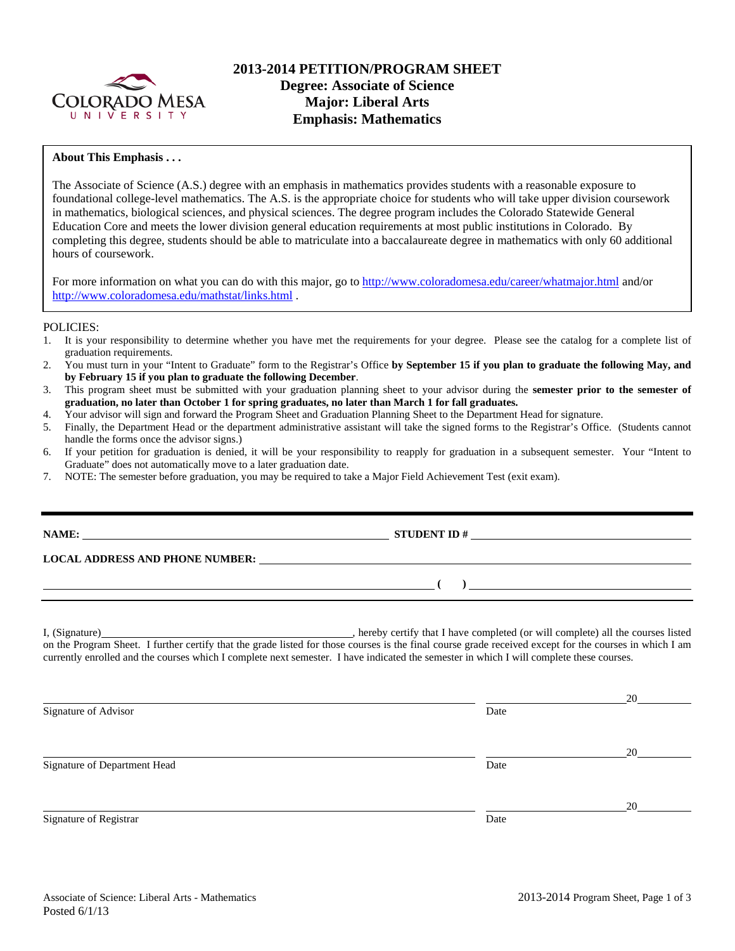

## **2013-2014 PETITION/PROGRAM SHEET Degree: Associate of Science Major: Liberal Arts Emphasis: Mathematics**

### **About This Emphasis . . .**

The Associate of Science (A.S.) degree with an emphasis in mathematics provides students with a reasonable exposure to foundational college-level mathematics. The A.S. is the appropriate choice for students who will take upper division coursework in mathematics, biological sciences, and physical sciences. The degree program includes the Colorado Statewide General Education Core and meets the lower division general education requirements at most public institutions in Colorado. By completing this degree, students should be able to matriculate into a baccalaureate degree in mathematics with only 60 additional hours of coursework.

For more information on what you can do with this major, go to http://www.coloradomesa.edu/career/whatmajor.html and/or http://www.coloradomesa.edu/mathstat/links.html .

#### POLICIES:

- 1. It is your responsibility to determine whether you have met the requirements for your degree. Please see the catalog for a complete list of graduation requirements.
- 2. You must turn in your "Intent to Graduate" form to the Registrar's Office **by September 15 if you plan to graduate the following May, and by February 15 if you plan to graduate the following December**.
- 3. This program sheet must be submitted with your graduation planning sheet to your advisor during the **semester prior to the semester of graduation, no later than October 1 for spring graduates, no later than March 1 for fall graduates.**
- 4. Your advisor will sign and forward the Program Sheet and Graduation Planning Sheet to the Department Head for signature.
- 5. Finally, the Department Head or the department administrative assistant will take the signed forms to the Registrar's Office. (Students cannot handle the forms once the advisor signs.)
- 6. If your petition for graduation is denied, it will be your responsibility to reapply for graduation in a subsequent semester. Your "Intent to Graduate" does not automatically move to a later graduation date.
- 7. NOTE: The semester before graduation, you may be required to take a Major Field Achievement Test (exit exam).

| NAME:                                  | <b>STUDENT ID#</b><br><u> 1989 - Johann Stein, Amerikaansk politiker (</u> |
|----------------------------------------|----------------------------------------------------------------------------|
| <b>LOCAL ADDRESS AND PHONE NUMBER:</b> |                                                                            |
|                                        |                                                                            |
|                                        |                                                                            |

I, (Signature) , hereby certify that I have completed (or will complete) all the courses listed on the Program Sheet. I further certify that the grade listed for those courses is the final course grade received except for the courses in which I am currently enrolled and the courses which I complete next semester. I have indicated the semester in which I will complete these courses.

|                              |      | 20 |
|------------------------------|------|----|
| Signature of Advisor         | Date |    |
|                              |      | 20 |
| Signature of Department Head | Date |    |
|                              |      | 20 |
| Signature of Registrar       | Date |    |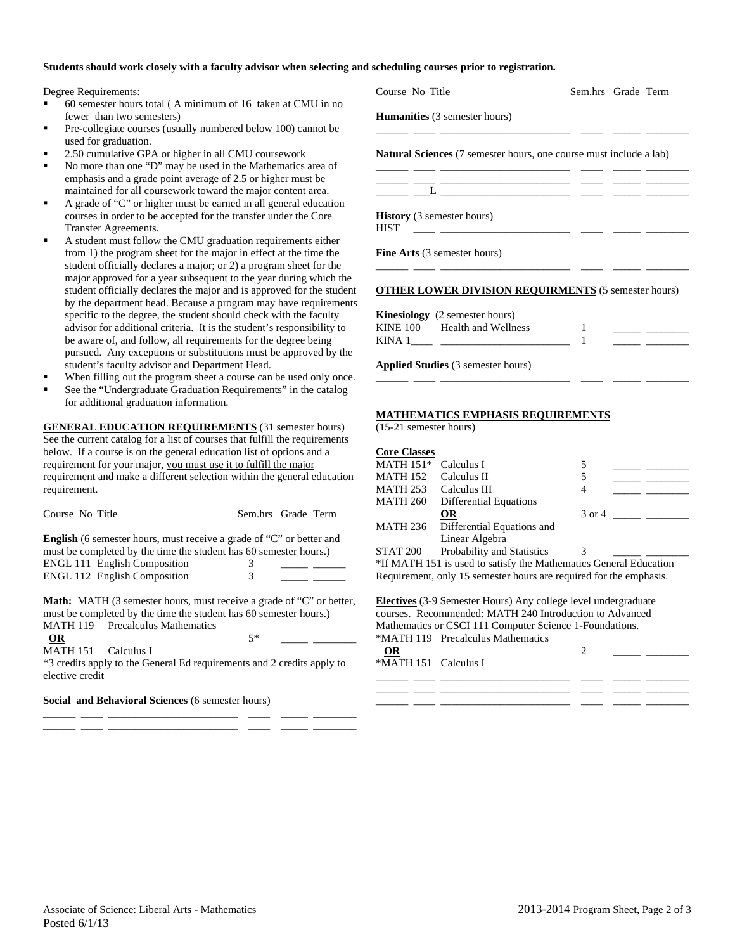#### **Students should work closely with a faculty advisor when selecting and scheduling courses prior to registration.**

Degree Requirements:

- 60 semester hours total ( A minimum of 16 taken at CMU in no fewer than two semesters)
- Pre-collegiate courses (usually numbered below 100) cannot be used for graduation.
- 2.50 cumulative GPA or higher in all CMU coursework
- No more than one "D" may be used in the Mathematics area of emphasis and a grade point average of 2.5 or higher must be maintained for all coursework toward the major content area.
- A grade of "C" or higher must be earned in all general education courses in order to be accepted for the transfer under the Core Transfer Agreements.
- A student must follow the CMU graduation requirements either from 1) the program sheet for the major in effect at the time the student officially declares a major; or 2) a program sheet for the major approved for a year subsequent to the year during which the student officially declares the major and is approved for the stude by the department head. Because a program may have requirement specific to the degree, the student should check with the faculty advisor for additional criteria. It is the student's responsibility to be aware of, and follow, all requirements for the degree being pursued. Any exceptions or substitutions must be approved by the student's faculty advisor and Department Head.
- When filling out the program sheet a course can be used only onc
- See the "Undergraduate Graduation Requirements" in the catalog for additional graduation information.

**GENERAL EDUCATION REQUIREMENTS** (31 semester hours) See the current catalog for a list of courses that fulfill the requirements below. If a course is on the general education list of options and a requirement for your major, you must use it to fulfill the major requirement and make a different selection within the general education requirement.

Course No Title Sem.hrs Grade Term **English** (6 semester hours, must receive a grade of "C" or better and must be completed by the time the student has 60 semester hours.)

ENGL 111 English Composition 3 ENGL 112 English Composition 3

Math: MATH (3 semester hours, must receive a grade of "C" or better, must be completed by the time the student has 60 semester hours.) MATH 119 Precalculus Mathematics

\_\_\_\_\_\_ \_\_\_\_ \_\_\_\_\_\_\_\_\_\_\_\_\_\_\_\_\_\_\_\_\_\_\_\_ \_\_\_\_ \_\_\_\_\_ \_\_\_\_\_\_\_\_ \_\_\_\_\_\_ \_\_\_\_ \_\_\_\_\_\_\_\_\_\_\_\_\_\_\_\_\_\_\_\_\_\_\_\_ \_\_\_\_ \_\_\_\_\_ \_\_\_\_\_\_\_\_

**OR** 5\* \_\_\_\_\_ \_\_\_\_\_\_\_\_

MATH 151 Calculus I \*3 credits apply to the General Ed requirements and 2 credits apply to elective credit

**Social and Behavioral Sciences** (6 semester hours)

|                        | Course No Title                                                                                                                                                                                                                                                                                                                                                                                                                                       | Sem.hrs Grade Term |                                               |
|------------------------|-------------------------------------------------------------------------------------------------------------------------------------------------------------------------------------------------------------------------------------------------------------------------------------------------------------------------------------------------------------------------------------------------------------------------------------------------------|--------------------|-----------------------------------------------|
|                        | Humanities (3 semester hours)                                                                                                                                                                                                                                                                                                                                                                                                                         |                    |                                               |
|                        | <b>Natural Sciences</b> (7 semester hours, one course must include a lab)                                                                                                                                                                                                                                                                                                                                                                             |                    |                                               |
|                        | $\frac{1}{\sqrt{1-\frac{1}{2}}}\left[\frac{1}{\sqrt{1-\frac{1}{2}}}\left(\frac{1}{\sqrt{1-\frac{1}{2}}}\right)\frac{1}{\sqrt{1-\frac{1}{2}}}\right]\frac{1}{\sqrt{1-\frac{1}{2}}}\left[\frac{1}{\sqrt{1-\frac{1}{2}}}\left(\frac{1}{\sqrt{1-\frac{1}{2}}}\right)\frac{1}{\sqrt{1-\frac{1}{2}}}\right]\frac{1}{\sqrt{1-\frac{1}{2}}}\frac{1}{\sqrt{1-\frac{1}{2}}}\frac{1}{\sqrt{1-\frac{1}{2}}}\frac{1}{\sqrt{1-\frac{1}{2}}}\frac{1}{\sqrt{1-\frac{$ |                    | <u> 1989 - Jan James James Barnett, franc</u> |
| <b>HIST</b>            | History (3 semester hours)<br><u> 1999 - Jan Albert III, politik politik (</u>                                                                                                                                                                                                                                                                                                                                                                        |                    |                                               |
|                        | Fine Arts (3 semester hours)                                                                                                                                                                                                                                                                                                                                                                                                                          |                    |                                               |
|                        | <b>OTHER LOWER DIVISION REQUIRMENTS</b> (5 semester hours)                                                                                                                                                                                                                                                                                                                                                                                            |                    |                                               |
|                        | Kinesiology (2 semester hours)                                                                                                                                                                                                                                                                                                                                                                                                                        |                    |                                               |
|                        | KINE 100 Health and Wellness<br>KINA $1 \_$ $\_$                                                                                                                                                                                                                                                                                                                                                                                                      | 1                  |                                               |
|                        | Applied Studies (3 semester hours)                                                                                                                                                                                                                                                                                                                                                                                                                    |                    |                                               |
|                        |                                                                                                                                                                                                                                                                                                                                                                                                                                                       |                    |                                               |
| (15-21 semester hours) | <b>MATHEMATICS EMPHASIS REQUIREMENTS</b>                                                                                                                                                                                                                                                                                                                                                                                                              |                    |                                               |
| <b>Core Classes</b>    |                                                                                                                                                                                                                                                                                                                                                                                                                                                       |                    |                                               |
| MATH 151* Calculus I   |                                                                                                                                                                                                                                                                                                                                                                                                                                                       | 5                  |                                               |
|                        | MATH 152 Calculus II                                                                                                                                                                                                                                                                                                                                                                                                                                  | 5                  |                                               |
|                        | MATH 253 Calculus III                                                                                                                                                                                                                                                                                                                                                                                                                                 | $\overline{4}$     |                                               |
|                        | MATH 260 Differential Equations<br><b>OR</b>                                                                                                                                                                                                                                                                                                                                                                                                          |                    |                                               |
| MATH 236               | Differential Equations and                                                                                                                                                                                                                                                                                                                                                                                                                            |                    |                                               |
|                        | Linear Algebra                                                                                                                                                                                                                                                                                                                                                                                                                                        |                    |                                               |
| <b>STAT 200</b>        | Probability and Statistics                                                                                                                                                                                                                                                                                                                                                                                                                            | 3                  |                                               |
|                        | *If MATH 151 is used to satisfy the Mathematics General Education                                                                                                                                                                                                                                                                                                                                                                                     |                    |                                               |
|                        | Requirement, only 15 semester hours are required for the emphasis.                                                                                                                                                                                                                                                                                                                                                                                    |                    |                                               |
|                        | Electives (3-9 Semester Hours) Any college level undergraduate<br>courses. Recommended: MATH 240 Introduction to Advanced                                                                                                                                                                                                                                                                                                                             |                    |                                               |
|                        | Mathematics or CSCI 111 Computer Science 1-Foundations.                                                                                                                                                                                                                                                                                                                                                                                               |                    |                                               |
|                        | *MATH 119 Precalculus Mathematics                                                                                                                                                                                                                                                                                                                                                                                                                     |                    |                                               |
| <b>OR</b>              |                                                                                                                                                                                                                                                                                                                                                                                                                                                       | 2                  |                                               |
| *MATH 151 Calculus I   |                                                                                                                                                                                                                                                                                                                                                                                                                                                       |                    |                                               |
|                        |                                                                                                                                                                                                                                                                                                                                                                                                                                                       |                    |                                               |